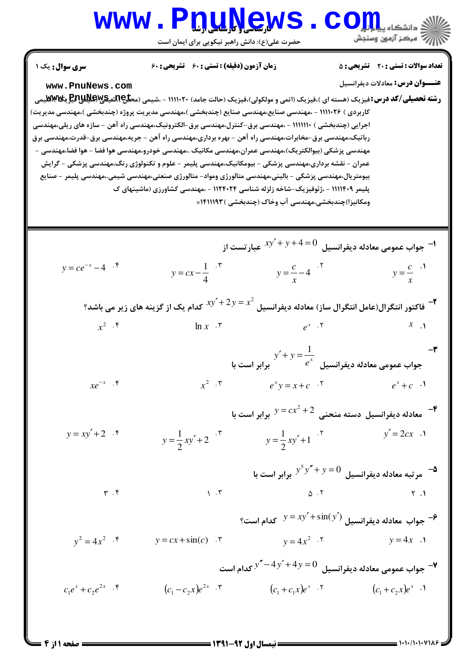

 $= 1.1.11.1.1118$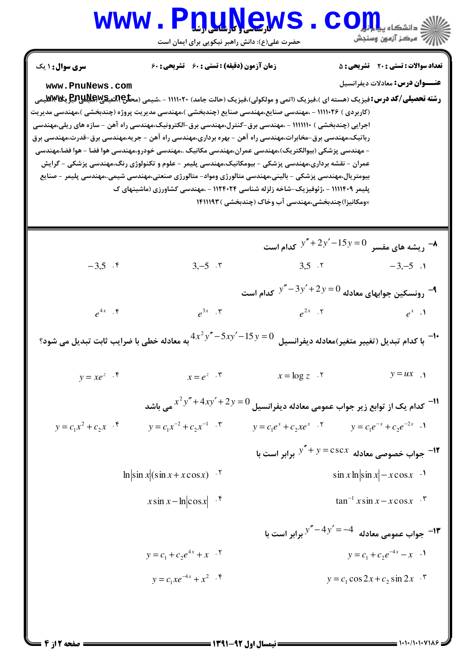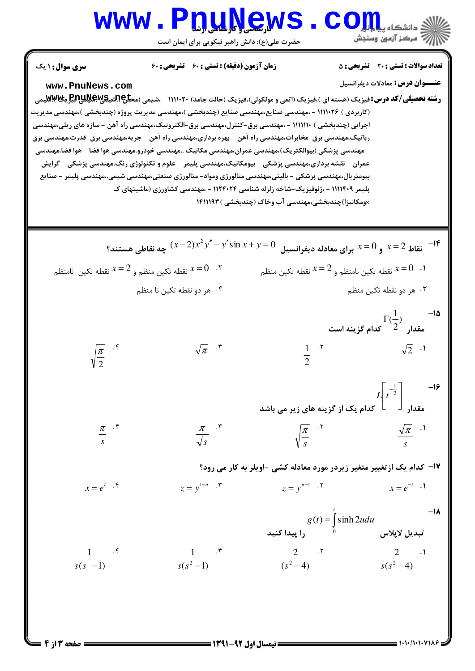